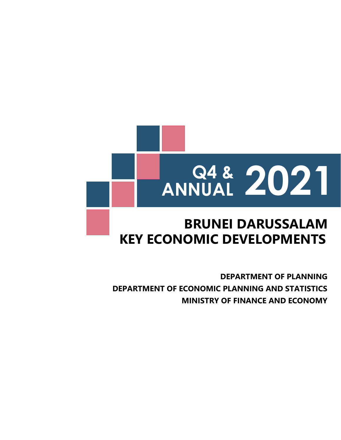

# **KEY ECONOMIC DEVELOPMENTS BRUNEI DARUSSALAM**

**DEPARTMENT OF ECONOMIC PLANNING AND STATISTICS MINISTRY OF FINANCE AND ECONOMY DEPARTMENT OF PLANNING**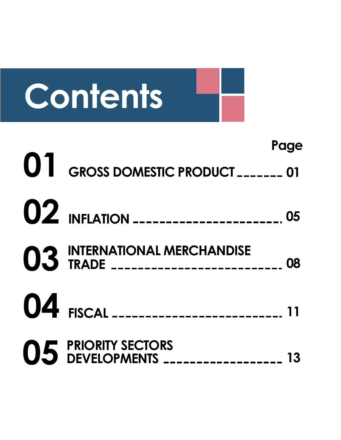

**Page**

- **GROSS DOMESTIC PRODUCT 01**
- **INFLATION**
- **INTERNATIONAL MERCHANDISE TRADE 08**
- **FISCAL**
- **PRIORITY SECTORS DEVELOPMENTS 13**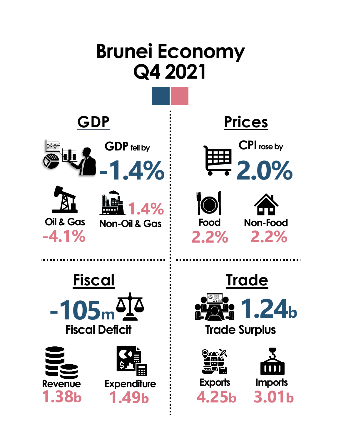# **-1.4% Q4 2021 Brunei Economy GDP fell by GDP Non-Oil & Gas 1.4% Oil & Gas -4.1% Prices 2.0% CPI rose by 2.2% Food Non-Food 2.2% Fiscal -105<sup>m</sup> Fiscal Deficit Revenue 1.38b 1.49b Expenditure Trade Trade Surplus Exports 4.25b 3.01b Imports 1.24b**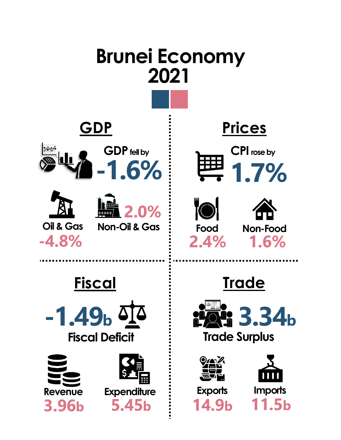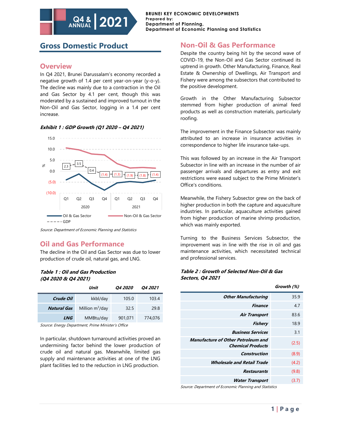# **Gross Domestic Product**

**Q4 & ANNUAL**

### **Overview**

In Q4 2021, Brunei Darussalam's economy recorded a negative growth of 1.4 per cent year-on-year (y-o-y). The decline was mainly due to a contraction in the Oil and Gas Sector by 4.1 per cent, though this was moderated by a sustained and improved turnout in the Non-Oil and Gas Sector, logging in a 1.4 per cent increase.

**2021**



#### **Exhibit 1 : GDP Growth (Q1 2020 – Q4 2021)**

Source: Department of Economic Planning and Statistics

### **Oil and Gas Performance**

The decline in the Oil and Gas Sector was due to lower production of crude oil, natural gas, and LNG.

#### **Table 1 : Oil and Gas Production (Q4 2020 & Q4 2021)**

|                    | Unit               | <i><b>04 2020</b></i> | <i><b>04 2021</b></i> |
|--------------------|--------------------|-----------------------|-----------------------|
| Crude Oil          | kkbl/day           | 105.0                 | 103.4                 |
| <b>Natural Gas</b> | Million $m^3$ /day | 32.5                  | 29.8                  |
| LNG                | MMBtu/day          | 901,071               | 774,076               |

Source: Energy Department, Prime Minister's Office

In particular, shutdown turnaround activities proved an undermining factor behind the lower production of crude oil and natural gas. Meanwhile, limited gas supply and maintenance activities at one of the LNG plant facilities led to the reduction in LNG production.

### **Non-Oil & Gas Performance**

Despite the country being hit by the second wave of COVID-19, the Non-Oil and Gas Sector continued its uptrend in growth. Other Manufacturing, Finance, Real Estate & Ownership of Dwellings, Air Transport and Fishery were among the subsectors that contributed to the positive development.

Growth in the Other Manufacturing Subsector stemmed from higher production of animal feed products as well as construction materials, particularly roofing.

The improvement in the Finance Subsector was mainly attributed to an increase in insurance activities in correspondence to higher life insurance take-ups.

This was followed by an increase in the Air Transport Subsector in line with an increase in the number of air passenger arrivals and departures as entry and exit restrictions were eased subject to the Prime Minister's Office's conditions.

Meanwhile, the Fishery Subsector grew on the back of higher production in both the capture and aquaculture industries. In particular, aquaculture activities gained from higher production of marine shrimp production, which was mainly exported.

Turning to the Business Services Subsector, the improvement was in line with the rise in oil and gas maintenance activities, which necessitated technical and professional services.

#### **Table 2 : Growth of Selected Non-Oil & Gas Sectors, Q4 2021**

|                                                                       | Growth (%) |
|-----------------------------------------------------------------------|------------|
| <b>Other Manufacturing</b>                                            | 35.9       |
| <b>Finance</b>                                                        | 4.7        |
| <b>Air Transport</b>                                                  | 83.6       |
| Fishery                                                               | 18.9       |
| <b>Business Services</b>                                              | 3.1        |
| <b>Manufacture of Other Petroleum and</b><br><b>Chemical Products</b> | (2.5)      |
| Construction                                                          | (8.9)      |
| <i><b>Wholesale and Retail Trade</b></i>                              | (4.2)      |
| Restaurants                                                           | (9.8)      |
| <b>Water Transport</b>                                                | (3.7)      |

Source: Department of Economic Planning and Statistics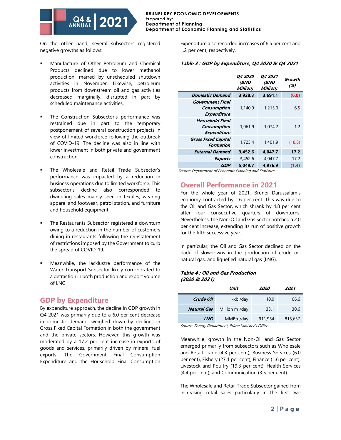

On the other hand, several subsectors registered negative growths as follows:

- Manufacture of Other Petroleum and Chemical Products declined due to lower methanol production, marred by unscheduled shutdown activities in November. Likewise, petroleum products from downstream oil and gas activities decreased marginally, disrupted in part by scheduled maintenance activities.
- The Construction Subsector's performance was restrained due in part to the temporary postponement of several construction projects in view of limited workforce following the outbreak of COVID-19. The decline was also in line with lower investment in both private and government construction.
- The Wholesale and Retail Trade Subsector's performance was impacted by a reduction in business operations due to limited workforce. This subsector's decline also corresponded to dwindling sales mainly seen in textiles, wearing apparel and footwear, petrol station, and furniture and household equipment.
- The Restaurants Subsector registered a downturn owing to a reduction in the number of customers dining in restaurants following the reinstatement of restrictions imposed by the Government to curb the spread of COVID-19.
- Meanwhile, the lacklustre performance of the Water Transport Subsector likely corroborated to a detraction in both production and export volume of LNG.

### **GDP by Expenditure**

By expenditure approach, the decline in GDP growth in Q4 2021 was primarily due to a 6.0 per cent decrease in domestic demand, weighed down by declines in Gross Fixed Capital Formation in both the government and the private sectors. However, this growth was moderated by a 17.2 per cent increase in exports of goods and services, primarily driven by mineral fuel exports. The Government Final Consumption Expenditure and the Household Final Consumption

Expenditure also recorded increases of 6.5 per cent and 1.2 per cent, respectively.

### **Table 3 : GDP by Expenditure, Q4 2020 & Q4 2021**

|                                                             | <i><b>04 2020</b></i><br><b>(BND</b><br>Million) | <b>Q4 2021</b><br>(BND<br>Million) | Growth<br>(%) |
|-------------------------------------------------------------|--------------------------------------------------|------------------------------------|---------------|
| <b>Domestic Demand</b>                                      | 3,928.3                                          | 3,691.1                            | (6.0)         |
| Government Final<br>Consumption<br><b>Expenditure</b>       | 1,140.9                                          | 1,215.0                            | 6.5           |
| <b>Household Final</b><br>Consumption<br><b>Expenditure</b> | 1,061.9                                          | 1.074.2                            | 1.2           |
| <b>Gross Fixed Capital</b><br>Formation                     | 1,725.4                                          | 1.401.9                            | (18.8)        |
| <b>External Demand</b>                                      | 3,452.6                                          | 4,047.7                            | 17.2          |
| <b>Exports</b>                                              | 3,452.6                                          | 4.047.7                            | 17.2          |
| GDP                                                         | 5.049.7                                          | 4.976.9                            | (1.4)         |

Source: Department of Economic Planning and Statistics

## **Overall Performance in 2021**

For the whole year of 2021, Brunei Darussalam's economy contracted by 1.6 per cent. This was due to the Oil and Gas Sector, which shrank by 4.8 per cent after four consecutive quarters of downturns. Nevertheless, the Non-Oil and Gas Sector notched a 2.0 per cent increase, extending its run of positive growth for the fifth successive year.

In particular, the Oil and Gas Sector declined on the back of slowdowns in the production of crude oil, natural gas, and liquefied natural gas (LNG).

#### **Table 4 : Oil and Gas Production (2020 & 2021)**

|                    | Unit               | 2020    | 2021    |
|--------------------|--------------------|---------|---------|
| Crude Oil          | kkbl/day           | 110.0   | 106.6   |
| <b>Natural Gas</b> | Million $m^3$ /day | 33.1    | 30.6    |
| <b>LNG</b>         | MMBtu/day          | 911,954 | 815,657 |

Source: Energy Department, Prime Minister's Office

Meanwhile, growth in the Non-Oil and Gas Sector emerged primarily from subsectors such as Wholesale and Retail Trade (4.3 per cent), Business Services (6.0 per cent), Fishery (27.1 per cent), Finance (1.6 per cent), Livestock and Poultry (19.3 per cent), Health Services (4.4 per cent), and Communication (3.5 per cent).

The Wholesale and Retail Trade Subsector gained from increasing retail sales particularly in the first two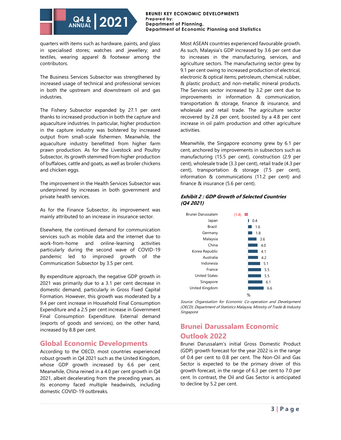#### **BRUNEI KEY ECONOMIC DEVELOPMENTS Prepared by: Department of Planning, Department of Economic Planning and Statistics**

quarters with items such as hardware, paints, and glass in specialised stores; watches and jewellery; and textiles, wearing apparel & footwear among the contributors.

The Business Services Subsector was strengthened by increased usage of technical and professional services in both the upstream and downstream oil and gas industries.

The Fishery Subsector expanded by 27.1 per cent thanks to increased production in both the capture and aquaculture industries. In particular, higher production in the capture industry was bolstered by increased output from small-scale fishermen. Meanwhile, the aquaculture industry benefitted from higher farm prawn production. As for the Livestock and Poultry Subsector, its growth stemmed from higher production of buffaloes, cattle and goats, as well as broiler chickens and chicken eggs.

The improvement in the Health Services Subsector was underpinned by increases in both government and private health services.

As for the Finance Subsector, its improvement was mainly attributed to an increase in insurance sector.

Elsewhere, the continued demand for communication services such as mobile data and the internet due to work-from-home and online-learning activities particularly during the second wave of COVID-19 pandemic led to improved growth of the Communication Subsector by 3.5 per cent.

By expenditure approach, the negative GDP growth in 2021 was primarily due to a 3.1 per cent decrease in domestic demand, particularly in Gross Fixed Capital Formation. However, this growth was moderated by a 9.4 per cent increase in Household Final Consumption Expenditure and a 2.5 per cent increase in Government Final Consumption Expenditure. External demand (exports of goods and services), on the other hand, increased by 8.8 per cent.

# **Global Economic Developments**

According to the OECD, most countries experienced robust growth in Q4 2021 such as the United Kingdom, whose GDP growth increased by 6.6 per cent. Meanwhile, China reined in a 4.0 per cent growth in Q4 2021, albeit decelerating from the preceding years, as its economy faced multiple headwinds, including domestic COVID-19 outbreaks.

Most ASEAN countries experienced favourable growth. As such, Malaysia's GDP increased by 3.6 per cent due to increases in the manufacturing, services, and agriculture sectors. The manufacturing sector grew by 9.1 per cent owing to increased production of electrical, electronic & optical items; petroleum, chemical, rubber, & plastic product; and non-metallic mineral products. The Services sector increased by 3.2 per cent due to improvements in information & communication, transportation & storage, finance & insurance, and wholesale and retail trade. The agriculture sector recovered by 2.8 per cent, boosted by a 4.8 per cent increase in oil palm production and other agriculture activities.

Meanwhile, the Singapore economy grew by 6.1 per cent, anchored by improvements in subsectors such as manufacturing (15.5 per cent), construction (2.9 per cent), wholesale trade (3.3 per cent), retail trade (4.3 per cent), transportation & storage (7.5 per cent), information & communications (11.2 per cent) and finance & insurance (5.6 per cent).

### **Exhibit 2 : GDP Growth of Selected Countries (Q4 2021)**



Source: Organisation for Economic Co-operation and Development (OECD), Department of Statistics Malaysia, Ministry of Trade & Industry **Singapore** 

# **Brunei Darussalam Economic Outlook 2022**

Brunei Darussalam's initial Gross Domestic Product (GDP) growth forecast for the year 2022 is in the range of 0.4 per cent to 0.8 per cent. The Non-Oil and Gas Sector is expected to be the primary driver of this growth forecast, in the range of 6.3 per cent to 7.0 per cent. In contrast, the Oil and Gas Sector is anticipated to decline by 5.2 per cent.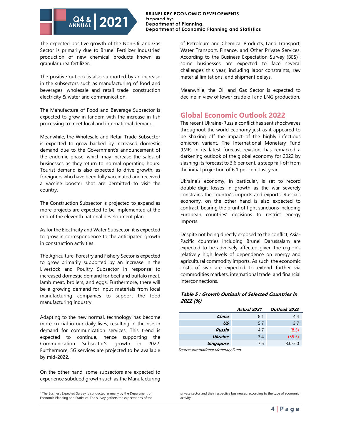#### **BRUNEI KEY ECONOMIC DEVELOPMENTS Prepared by: Department of Planning, Department of Economic Planning and Statistics**

The expected positive growth of the Non-Oil and Gas Sector is primarily due to Brunei Fertilizer Industries' production of new chemical products known as granular urea fertilizer.

The positive outlook is also supported by an increase in the subsectors such as manufacturing of food and beverages, wholesale and retail trade, construction electricity & water and communication.

The Manufacture of Food and Beverage Subsector is expected to grow in tandem with the increase in fish processing to meet local and international demand.

Meanwhile, the Wholesale and Retail Trade Subsector is expected to grow backed by increased domestic demand due to the Government's announcement of the endemic phase, which may increase the sales of businesses as they return to normal operating hours. Tourist demand is also expected to drive growth, as foreigners who have been fully vaccinated and received a vaccine booster shot are permitted to visit the country.

The Construction Subsector is projected to expand as more projects are expected to be implemented at the end of the eleventh national development plan.

As for the Electricity and Water Subsector, it is expected to grow in correspondence to the anticipated growth in construction activities.

The Agriculture, Forestry and Fishery Sector is expected to grow primarily supported by an increase in the Livestock and Poultry Subsector in response to increased domestic demand for beef and buffalo meat, lamb meat, broilers, and eggs. Furthermore, there will be a growing demand for input materials from local manufacturing companies to support the food manufacturing industry.

Adapting to the new normal, technology has become more crucial in our daily lives, resulting in the rise in demand for communication services. This trend is expected to continue, hence supporting the Communication Subsector's growth in 2022. Furthermore, 5G services are projected to be available by mid-2022.

On the other hand, some subsectors are expected to experience subdued growth such as the Manufacturing of Petroleum and Chemical Products, Land Transport, Water Transport, Finance, and Other Private Services. According to the Business Expectation Survey (BES)<sup>1</sup>, some businesses are expected to face several challenges this year, including labor constraints, raw material limitations, and shipment delays.

Meanwhile, the Oil and Gas Sector is expected to decline in view of lower crude oil and LNG production.

# **Global Economic Outlook 2022**

The recent Ukraine-Russia conflict has sent shockwaves throughout the world economy just as it appeared to be shaking off the impact of the highly infectious omicron variant. The International Monetary Fund (IMF) in its latest forecast revision, has remarked a darkening outlook of the global economy for 2022 by slashing its forecast to 3.6 per cent, a steep fall-off from the initial projection of 6.1 per cent last year.

Ukraine's economy, in particular, is set to record double-digit losses in growth as the war severely constrains the country's imports and exports. Russia's economy, on the other hand is also expected to contract, bearing the brunt of tight sanctions including European countries' decisions to restrict energy imports.

Despite not being directly exposed to the conflict, Asia-Pacific countries including Brunei Darussalam are expected to be adversely affected given the region's relatively high levels of dependence on energy and agricultural commodity imports. As such, the economic costs of war are expected to extend further via commodities markets, international trade, and financial interconnections.

### **Table 5 : Growth Outlook of Selected Countries in 2022 (%)**

|                | Actual 2021 | Outlook 2022 |
|----------------|-------------|--------------|
| China          | 8.1         | 4.4          |
| US             | 5.7         | 3.7          |
| Russia         | 4.7         | (8.5)        |
| <b>Ukraine</b> | 3.4         | (35.5)       |
| Singapore      | 7.6         | $3.0 - 5.0$  |

Source: International Monetary Fund

<sup>&</sup>lt;sup>1</sup> The Business Expected Survey is conducted annually by the Department of Economic Planning and Statistics. The survey gathers the expectations of the

private sector and their respective businesses, according to the type of economic activity.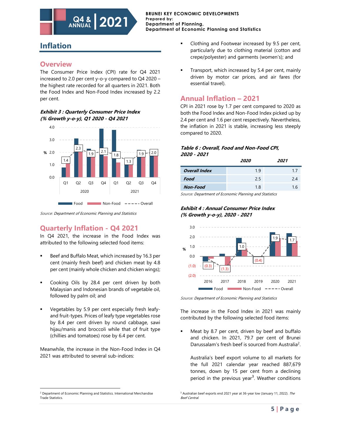# **Inflation**

### **Overview**

The Consumer Price Index (CPI) rate for Q4 2021 increased to 2.0 per cent y-o-y compared to Q4 2020 – the highest rate recorded for all quarters in 2021. Both the Food Index and Non-Food Index increased by 2.2 per cent.

**2021**

#### **Exhibit 3 : Quarterly Consumer Price Index (% Growth y-o-y), Q1 2020 - Q4 2021**

**Q4 & ANNUAL**



Source: Department of Economic Planning and Statistics

# **Quarterly Inflation - Q4 2021**

In Q4 2021, the increase in the Food Index was attributed to the following selected food items:

- Beef and Buffalo Meat, which increased by 16.3 per cent (mainly fresh beef) and chicken meat by 4.8 per cent (mainly whole chicken and chicken wings);
- Cooking Oils by 28.4 per cent driven by both Malaysian and Indonesian brands of vegetable oil, followed by palm oil; and
- Vegetables by 5.9 per cent especially fresh leafyand fruit-types. Prices of leafy type vegetables rose by 8.4 per cent driven by round cabbage, sawi hijau/manis and broccoli while that of fruit type (chillies and tomatoes) rose by 6.4 per cent.

Meanwhile, the increase in the Non-Food Index in Q4 2021 was attributed to several sub-indices:

- Clothing and Footwear increased by 9.5 per cent, particularly due to clothing material (cotton and crepe/polyester) and garments (women's); and
- Transport, which increased by 5.4 per cent, mainly driven by motor car prices, and air fares (for essential travel).

# **Annual Inflation – 2021**

CPI in 2021 rose by 1.7 per cent compared to 2020 as both the Food Index and Non-Food Index picked up by 2.4 per cent and 1.6 per cent respectively. Nevertheless, the inflation in 2021 is stable, increasing less steeply compared to 2020.

### **Table 6 : Overall, Food and Non-Food CPI, 2020 - 2021**

|                      | 2020 | 2021 |
|----------------------|------|------|
| <b>Overall Index</b> | 19   | 17   |
| Food                 | 2.5  | 24   |
| <b>Non-Food</b>      | 1.8  | 1.6  |

Source: Department of Economic Planning and Statistics

**Exhibit 4 : Annual Consumer Price Index (% Growth y-o-y), 2020 - 2021**



Source: Department of Economic Planning and Statistics

The increase in the Food Index in 2021 was mainly contributed by the following selected food items:

Meat by 8.7 per cent, driven by beef and buffalo and chicken. In 2021, 79.7 per cent of Brunei Darussalam's fresh beef is sourced from Australia<sup>2</sup>.

Australia's beef export volume to all markets for the full 2021 calendar year reached 887,679 tonnes, down by 15 per cent from a declining period in the previous year<sup>3</sup>. Weather conditions

<sup>&</sup>lt;sup>2</sup> Department of Economic Planning and Statistics. International Merchandise Trade Statistics.

<sup>&</sup>lt;sup>3</sup> Australian beef exports end 2021 year at 36-year low (January 11, 2022). The Beef Central.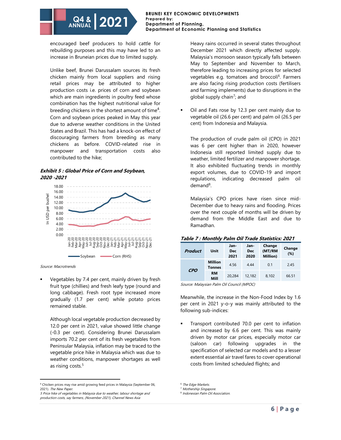#### **BRUNEI KEY ECONOMIC DEVELOPMENTS Prepared by: Department of Planning, Department of Economic Planning and Statistics**

encouraged beef producers to hold cattle for rebuilding purposes and this may have led to an increase in Bruneian prices due to limited supply.

Unlike beef, Brunei Darussalam sources its fresh chicken mainly from local suppliers and rising retail prices may be attributed to higher production costs i.e. prices of corn and soybean which are main ingredients in poultry feed whose combination has the highest nutritional value for breeding chickens in the shortest amount of time<sup>4</sup>. Corn and soybean prices peaked in May this year due to adverse weather conditions in the United States and Brazil. This has had a knock-on effect of discouraging farmers from breeding as many chickens as before. COVID-related rise in manpower and transportation costs also contributed to the hike;

#### **Exhibit 5 : Global Price of Corn and Soybean, 2020 -2021**



Source: Macrotrends

Vegetables by 7.4 per cent, mainly driven by fresh fruit type (chillies) and fresh leafy type (round and long cabbage). Fresh root type increased more gradually (1.7 per cent) while potato prices remained stable.

Although local vegetable production decreased by 12.0 per cent in 2021, value showed little change (-0.3 per cent). Considering Brunei Darussalam imports 70.2 per cent of its fresh vegetables from Peninsular Malaysia, inflation may be traced to the vegetable price hike in Malaysia which was due to weather conditions, manpower shortages as well as rising costs.<sup>5</sup>

5 Price hike of vegetables in Malaysia due to weather, labour shortage and production costs, say farmers, (November 2021), Channel News Asia

Heavy rains occurred in several states throughout December 2021 which directly affected supply. Malaysia's monsoon season typically falls between May to September and November to March, therefore leading to increasing prices for selected vegetables e.g. tomatoes and broccoli<sup>6</sup>. Farmers are also facing rising production costs (fertilisers and farming implements) due to disruptions in the global supply chain<sup>7</sup>; and

Oil and Fats rose by 12.3 per cent mainly due to vegetable oil (26.6 per cent) and palm oil (26.5 per cent) from Indonesia and Malaysia.

The production of crude palm oil (CPO) in 2021 was 6 per cent higher than in 2020, however Indonesia still reported limited supply due to weather, limited fertilizer and manpower shortage. It also exhibited fluctuating trends in monthly export volumes, due to COVID-19 and import regulations, indicating decreased palm oil demand<sup>8</sup>.

Malaysia's CPO prices have risen since mid-December due to heavy rains and flooding. Prices over the next couple of months will be driven by demand from the Middle East and due to Ramadhan.

| Table 7 : Monthly Palm Oil Trade Statistics: 2021 |                                 |                     |                            |                                      |               |
|---------------------------------------------------|---------------------------------|---------------------|----------------------------|--------------------------------------|---------------|
| <b>Product</b>                                    | Unit                            | Jan-<br>Dec<br>2021 | Jan-<br><b>Dec</b><br>2020 | Change<br>(MT/RM<br><b>Million</b> ) | Change<br>(%) |
| ---                                               | <b>Million</b><br><b>Tonnes</b> | 4.56                | 444                        | 0.1                                  | 2.45          |

#### **Table 7 : Monthly Palm Oil Trade Statistics: 2021**

Source: Malaysian Palm Oil Council (MPOC)

**RM** 

Meanwhile, the increase in the Non-Food Index by 1.6 per cent in 2021 y-o-y was mainly attributed to the following sub-indices:

**Mill** 20,284 12,182 8,102 66.51

Transport contributed 70.0 per cent to inflation and increased by 6.6 per cent. This was mainly driven by motor car prices, especially motor car (saloon car) following upgrades in the specification of selected car models and to a lesser extent essential air travel fares to cover operational costs from limited scheduled flights; and

**CPO**

<sup>4</sup> [Chicken](https://tnp.straitstimes.com/news/singapore/chicken-prices-may-rise-amid-growing-feed-prices-malaysia) prices may rise amid growing feed prices in Malaysia (September 06, 2021). The New Paper.

<sup>&</sup>lt;sup>6</sup> The Edge Markets.

<sup>&</sup>lt;sup>7</sup> Mothership Singapore.

<sup>8</sup> Indonesian Palm Oil Association.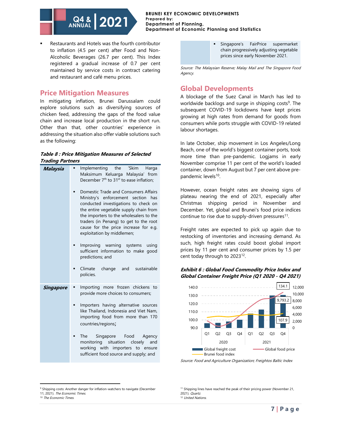

Restaurants and Hotels was the fourth contributor to inflation (4.5 per cent) after Food and Non-Alcoholic Beverages (26.7 per cent). This Index registered a gradual increase of 0.7 per cent maintained by service costs in contract catering and restaurant and café menu prices.

### **Price Mitigation Measures**

In mitigating inflation, Brunei Darussalam could explore solutions such as diversifying sources of chicken feed, addressing the gaps of the food value chain and increase local production in the short run. Other than that, other countries' experience in addressing the situation also offer viable solutions such as the following:

#### **Table 8 : Price Mitigation Measures of Selected Trading Partners**

| Malaysia  | Implementing the 'Skim<br>Harga<br>Maksimum Keluarga Malaysia' from<br>December 7 <sup>th</sup> to 31 <sup>st</sup> to ease inflation;<br>Domestic Trade and Consumers Affairs<br>Ministry's enforcement section<br>has<br>conducted investigations to check on<br>the entire vegetable supply chain from<br>the importers to the wholesalers to the<br>traders (in Penang) to get to the root<br>cause for the price increase for e.g. |
|-----------|-----------------------------------------------------------------------------------------------------------------------------------------------------------------------------------------------------------------------------------------------------------------------------------------------------------------------------------------------------------------------------------------------------------------------------------------|
|           | exploitation by middlemen;<br>Improving warning<br>systems<br>using<br>sufficient information to make good<br>predictions; and<br>Climate<br>change and sustainable<br>٠                                                                                                                                                                                                                                                                |
|           | policies.                                                                                                                                                                                                                                                                                                                                                                                                                               |
| Singapore | Importing more frozen<br>chickens<br>to<br>provide more choices to consumers;                                                                                                                                                                                                                                                                                                                                                           |
|           | Importers having alternative sources<br>■<br>like Thailand, Indonesia and Viet Nam,<br>importing food from more than 170<br>countries/regions;                                                                                                                                                                                                                                                                                          |
|           | The<br>Singapore Food<br>Agency<br>٠<br>monitoring situation closely<br>and<br>working with importers to ensure<br>sufficient food source and supply; and                                                                                                                                                                                                                                                                               |

Singapore's FairPrice supermarket chain progressively adjusting vegetable prices since early November 2021.

Source: The Malaysian Reserve; Malay Mail and The Singapore Food Agency.

## **Global Developments**

A blockage of the Suez Canal in March has led to worldwide backlogs and surge in shipping costs<sup>9</sup>. The subsequent COVID-19 lockdowns have kept prices growing at high rates from demand for goods from consumers while ports struggle with COVID-19 related labour shortages.

In late October, ship movement in Los Angeles/Long Beach, one of the world's biggest container ports, took more time than pre-pandemic. Logjams in early November comprise 11 per cent of the world's loaded container, down from August but 7 per cent above prepandemic levels<sup>10</sup>.

However, ocean freight rates are showing signs of plateau nearing the end of 2021, especially after Christmas shipping period in November and December. Yet, global and Brunei's food price indices continue to rise due to supply-driven pressures<sup>11</sup>.

Freight rates are expected to pick up again due to restocking of inventories and increasing demand. As such, high freight rates could boost global import prices by 11 per cent and consumer prices by 1.5 per cent today through to 2023<sup>12</sup>.

### **Exhibit 6 : Global Food Commodity Price Index and Global Container Freight Price (Q1 2020 - Q4 2021)**



Source: Food and Agriculture Organization; Freightos Baltic Index

<sup>&</sup>lt;sup>9</sup> Shipping costs: Another danger for inflation-watchers to navigate (December 11, 2021). The Economic Times.

<sup>&</sup>lt;sup>10</sup> The Economic Times.

<sup>&</sup>lt;sup>11</sup> Shipping lines have reached the peak of their pricing power (November 21, 2021). Quartz.

<sup>&</sup>lt;sup>12</sup> United Nations.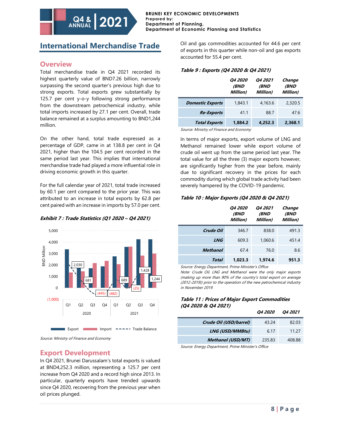# **International Merchandise Trade**

**Q4 & ANNUAL**

**2021**

## **Overview**

Total merchandise trade in Q4 2021 recorded its highest quarterly value of BND7.26 billion, narrowly surpassing the second quarter's previous high due to strong exports. Total exports grew substantially by 125.7 per cent y-o-y following strong performance from the downstream petrochemical industry, while total imports increased by 27.1 per cent. Overall, trade balance remained at a surplus amounting to BND1,244 million.

On the other hand, total trade expressed as a percentage of GDP, came in at 138.8 per cent in Q4 2021, higher than the 104.5 per cent recorded in the same period last year. This implies that international merchandise trade had played a more influential role in driving economic growth in this quarter.

For the full calendar year of 2021, total trade increased by 60.1 per cent compared to the prior year. This was attributed to an increase in total exports by 62.8 per cent paired with an increase in imports by 57.0 per cent.

### **Exhibit 7 : Trade Statistics (Q1 2020 – Q4 2021)**



Source: Ministry of Finance and Economy

# **Export Development**

In Q4 2021, Brunei Darussalam's total exports is valued at BND4,252.3 million, representing a 125.7 per cent increase from Q4 2020 and a record high since 2013. In particular, quarterly exports have trended upwards since Q4 2020, recovering from the previous year when oil prices plunged.

Oil and gas commodities accounted for 44.6 per cent of exports in this quarter while non-oil and gas exports accounted for 55.4 per cent.

### **Table 9 : Exports (Q4 2020 & Q4 2021)**

|                         | <i><b>Q4 2020</b></i><br><i><b>(BND</b></i><br>Million) | <i><b>04 2021</b></i><br>(BND<br>Million) | Change<br>(BND<br>Million) |
|-------------------------|---------------------------------------------------------|-------------------------------------------|----------------------------|
| <b>Domestic Exports</b> | 1.843.1                                                 | 4,163.6                                   | 2,320.5                    |
| <b>Re-Exports</b>       | 41.1                                                    | 88.7                                      | 47.6                       |
| <b>Total Exports</b>    | 1.884.2                                                 | 4.252.3                                   | 2.368.1                    |

Source: Ministry of Finance and Economy

In terms of major exports, export volume of LNG and Methanol remained lower while export volume of crude oil went up from the same period last year. The total value for all the three (3) major exports however, are significantly higher from the year before, mainly due to significant recovery in the prices for each commodity during which global trade activity had been severely hampered by the COVID-19 pandemic.

### **Table 10 : Major Exports (Q4 2020 & Q4 2021)**

|                 | <i><b>04 2020</b></i><br><i>(BND</i><br>Million) | <i><b>04 2021</b></i><br><i><b>(BND</b></i><br>Million) | Change<br><i>(BND</i><br>Million) |
|-----------------|--------------------------------------------------|---------------------------------------------------------|-----------------------------------|
| Crude Oil       | 346.7                                            | 838.0                                                   | 491.3                             |
| <b>LNG</b>      | 609.3                                            | 1.060.6                                                 | 451.4                             |
| <b>Methanol</b> | 67.4                                             | 76.0                                                    | 8.6                               |
| Total           | 1.023.3                                          | 1.974.6                                                 | 951.3                             |

Source: Energy Department, Prime Minister's Office

Note: Crude Oil, LNG and Methanol were the only major exports (making up more than 90% of the country's total export on average (2012-2019)) prior to the operation of the new petrochemical industry in November 2019.

### **Table 11 : Prices of Major Export Commodities (Q4 2020 & Q4 2021)**

|                          | <i><b>04 2020</b></i> | <i><b>04 2021</b></i> |
|--------------------------|-----------------------|-----------------------|
| Crude Oil (USD/barrel)   | 43.24                 | 82.03                 |
| <b>LNG (USD/MMBtu)</b>   | 6.17                  | 11.27                 |
| <b>Methanol (USD/MT)</b> | 235.83                | 408.88                |
|                          |                       |                       |

Source: Energy Department, Prime Minister's Office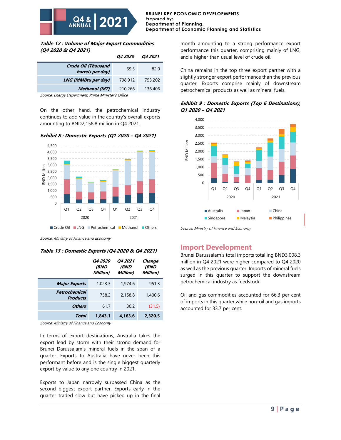

**Table 12 : Volume of Major Export Commodities (Q4 2020 & Q4 2021)**

|                                                | <i><b>04 2020</b></i> | <i><b>04 2021</b></i> |
|------------------------------------------------|-----------------------|-----------------------|
| <b>Crude Oil (Thousand</b><br>barrels per day) | 69.5                  | 82.0                  |
| LNG (MMBtu per day)                            | 798.912               | 753,202               |
| <b>Methanol</b> (MT)                           | 210,266               | 136,406               |

Source: Energy Department, Prime Minister's Office

On the other hand, the petrochemical industry continues to add value in the country's overall exports amounting to BND2,158.8 million in Q4 2021.





■ Crude Oil ■ LNG ■ Petrochemical ■ Methanol ■ Others

Source: Ministry of Finance and Economy

#### **Table 13 : Domestic Exports (Q4 2020 & Q4 2021)**

|                                  | <i><b>Q4 2020</b></i><br>(BND<br>Million) | <b>Q4 2021</b><br><i><b>(BND</b></i><br>Million) | Change<br>(BND<br>Million) |
|----------------------------------|-------------------------------------------|--------------------------------------------------|----------------------------|
| <b>Major Exports</b>             | 1,023.3                                   | 1,974.6                                          | 951.3                      |
| Petrochemical<br><b>Products</b> | 758.2                                     | 2,158.8                                          | 1,400.6                    |
| <b>Others</b>                    | 61.7                                      | 30.2                                             | (31.5)                     |
| Total                            | 1.843.1                                   | 4.163.6                                          | 2.320.5                    |

Source: Ministry of Finance and Economy

In terms of export destinations, Australia takes the export lead by storm with their strong demand for Brunei Darussalam's mineral fuels in the span of a quarter. Exports to Australia have never been this performant before and is the single biggest quarterly export by value to any one country in 2021.

Exports to Japan narrowly surpassed China as the second biggest export partner. Exports early in the quarter traded slow but have picked up in the final month amounting to a strong performance export performance this quarter, comprising mainly of LNG, and a higher than usual level of crude oil.

China remains in the top three export partner with a slightly stronger export performance than the previous quarter. Exports comprise mainly of downstream petrochemical products as well as mineral fuels.





Source: Ministry of Finance and Economy

### **Import Development**

Brunei Darussalam's total imports totalling BND3,008.3 million in Q4 2021 were higher compared to Q4 2020 as well as the previous quarter. Imports of mineral fuels surged in this quarter to support the downstream petrochemical industry as feedstock.

Oil and gas commodities accounted for 66.3 per cent of imports in this quarter while non-oil and gas imports accounted for 33.7 per cent.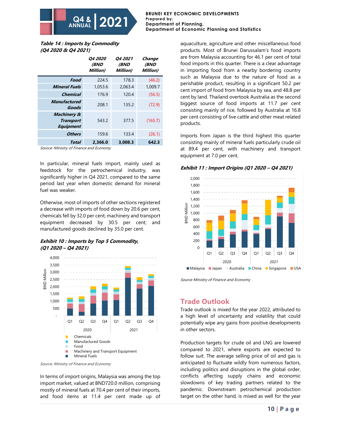**Table 14 : Imports by Commodity (Q4 2020 & Q4 2021)**

**Q4 & ANNUAL**

|                                                                | <i><b>04 2020</b></i><br><i><b>(BND</b></i><br>Million) | <b>Q4 2021</b><br><i><b>(BND</b></i><br>Million) | Change<br>(BND<br>Million) |
|----------------------------------------------------------------|---------------------------------------------------------|--------------------------------------------------|----------------------------|
| Food                                                           | 224.5                                                   | 178.3                                            | (46.2)                     |
| <b>Mineral Fuels</b>                                           | 1,053.6                                                 | 2,063.4                                          | 1,009.7                    |
| Chemical                                                       | 176.9                                                   | 120.4                                            | (56.5)                     |
| <b>Manufactured</b><br>Goods                                   | 208.1                                                   | 135.2                                            | (72.9)                     |
| <b>Machinery &amp;</b><br><b>Transport</b><br><b>Equipment</b> | 543.2                                                   | 377.5                                            | (165.7)                    |
| <b>Others</b>                                                  | 159.6                                                   | 133.4                                            | (26.1)                     |
| Total                                                          | 2,366.0                                                 | 3,008.3                                          | 642.3                      |

**2021**

Source: Ministry of Finance and Economy

In particular, mineral fuels import, mainly used as feedstock for the petrochemical industry, was significantly higher in Q4 2021, compared to the same period last year when domestic demand for mineral fuel was weaker.

Otherwise, most of imports of other sections registered a decrease with imports of food down by 20.6 per cent, chemicals fell by 32.0 per cent; machinery and transport equipment decreased by 30.5 per cent; and manufactured goods declined by 35.0 per cent.





Source: Ministry of Finance and Economy

In terms of import origins, Malaysia was among the top import market, valued at BND720.0 million, comprising mostly of mineral fuels at 70.4 per cent of their imports, and food items at 11.4 per cent made up of aquaculture, agriculture and other miscellaneous food products. Most of Brunei Darussalam's food imports are from Malaysia accounting for 46.1 per cent of total food imports in this quarter. There is a clear advantage in importing food from a nearby bordering country such as Malaysia due to the nature of food as a perishable product, resulting in a significant 50.2 per cent import of food from Malaysia by sea, and 48.8 per cent by land. Thailand overtook Australia as the second biggest source of food imports at 11.7 per cent consisting mainly of rice, followed by Australia at 16.8 per cent consisting of live cattle and other meat related products.

Imports from Japan is the third highest this quarter consisting mainly of mineral fuels particularly crude oil at 89.4 per cent, with machinery and transport equipment at 7.0 per cent.





Source Ministry of Finance and Economy

### **Trade Outlook**

Trade outlook is mixed for the year 2022, attributed to a high level of uncertainty and volatility that could potentially wipe any gains from positive developments in other sectors.

Production targets for crude oil and LNG are lowered compared to 2021, where exports are expected to follow suit. The average selling price of oil and gas is anticipated to fluctuate wildly from numerous factors, including politics and disruptions in the global order, conflicts affecting supply chains and economic slowdowns of key trading partners related to the pandemic. Downstream petrochemical production target on the other hand, is mixed as well for the year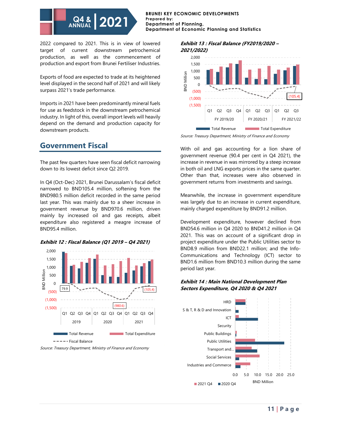#### **BRUNEI KEY ECONOMIC DEVELOPMENTS Prepared by: Department of Planning, Department of Economic Planning and Statistics**

2022 compared to 2021. This is in view of lowered target of current downstream petrochemical production, as well as the commencement of production and export from Brunei Fertiliser Industries.

Exports of food are expected to trade at its heightened level displayed in the second half of 2021 and will likely surpass 2021's trade performance.

Imports in 2021 have been predominantly mineral fuels for use as feedstock in the downstream petrochemical industry. In light of this, overall import levels will heavily depend on the demand and production capacity for downstream products.

# **Government Fiscal**

The past few quarters have seen fiscal deficit narrowing down to its lowest deficit since Q2 2019.

In Q4 (Oct-Dec) 2021, Brunei Darussalam's fiscal deficit narrowed to BND105.4 million, softening from the BND980.5 million deficit recorded in the same period last year. This was mainly due to a sheer increase in government revenue by BND970.6 million, driven mainly by increased oil and gas receipts, albeit expenditure also registered a meagre increase of BND95.4 million.



### **Exhibit 12 : Fiscal Balance (Q1 2019 – Q4 2021)**

#### **Exhibit 13 : Fiscal Balance (FY2019/2020 – 2021/2022)**



Source: Treasury Department, Ministry of Finance and Economy

With oil and gas accounting for a lion share of government revenue (90.4 per cent in Q4 2021), the increase in revenue in was mirrored by a steep increase in both oil and LNG exports prices in the same quarter. Other than that, increases were also observed in government returns from investments and savings.

Meanwhile, the increase in government expenditure was largely due to an increase in current expenditure, mainly charged expenditure by BND91.2 million.

Development expenditure, however declined from BND54.6 million in Q4 2020 to BND41.2 million in Q4 2021. This was on account of a significant drop in project expenditure under the Public Utilities sector to BND8.9 million from BND22.1 million; and the Info-Communications and Technology (ICT) sector to BND1.6 million from BND10.3 million during the same period last year.

### **Exhibit 14 : Main National Development Plan**  79.9 **Sectors Expenditure, Q4 2020 & Q4 2021**



Source: Treasury Department, Ministry of Finance and Economy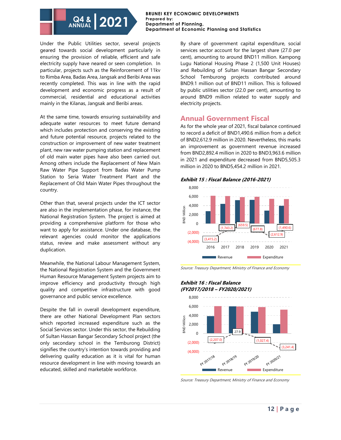#### **BRUNEI KEY ECONOMIC DEVELOPMENTS Prepared by: Department of Planning, Department of Economic Planning and Statistics**

Under the Public Utilities sector, several projects geared towards social development particularly in ensuring the provision of reliable, efficient and safe electricity supply have neared or seen completion. In particular, projects such as the Reinforcement of 11kv to Rimba Area, Badas Area, Jangsak and Beribi Area was recently completed. This was in line with the rapid development and economic progress as a result of commercial, residential and educational activities mainly in the Kilanas, Jangsak and Beribi areas.

At the same time, towards ensuring sustainability and adequate water resources to meet future demand which includes protection and conserving the existing and future potential resource, projects related to the construction or improvement of new water treatment plant, new raw water pumping station and replacement of old main water pipes have also been carried out. Among others include the Replacement of New Main Raw Water Pipe Support from Badas Water Pump Station to Seria Water Treatment Plant and the Replacement of Old Main Water Pipes throughout the country.

Other than that, several projects under the ICT sector are also in the implementation phase, for instance, the National Registration System. The project is aimed at providing a comprehensive platform for those who want to apply for assistance. Under one database, the relevant agencies could monitor the applications status, review and make assessment without any duplication.

Meanwhile, the National Labour Management System, the National Registration System and the Government Human Resource Management System projects aim to improve efficiency and productivity through high quality and competitive infrastructure with good governance and public service excellence.

Despite the fall in overall development expenditure, there are other National Development Plan sectors which reported increased expenditure such as the Social Services sector. Under this sector, the Rebuilding of Sultan Hassan Bangar Secondary School project (the only secondary school in the Temburong District) signifies the country's intention towards providing and delivering quality education as it is vital for human resource development in line with moving towards an educated, skilled and marketable workforce.

By share of government capital expenditure, social services sector account for the largest share (27.0 per cent), amounting to around BND11 million. Kampong Lugu National Housing Phase 2 (1,500 Unit Houses) and Rebuilding of Sultan Hassan Bangar Secondary School Temburong projects contributed around BND9.1 million out of BND11 million. This is followed by public utilities sector (22.0 per cent), amounting to around BND9 million related to water supply and electricity projects.

## **Annual Government Fiscal**

As for the whole year of 2021, fiscal balance continued to record a deficit of BND1,490.6 million from a deficit of BND2,612.9 million in 2020. Nevertheless, this marks an improvement as government revenue increased from BND2,892.4 million in 2020 to BND3,963.6 million in 2021 and expenditure decreased from BND5,505.3 million in 2020 to BND5,454.2 million in 2021.





Source: Treasury Department, Ministry of Finance and Economy

#### **Exhibit 16 : Fiscal Balance (FY2017/2018 – FY2020/2021)**



Source: Treasury Department, Ministry of Finance and Economy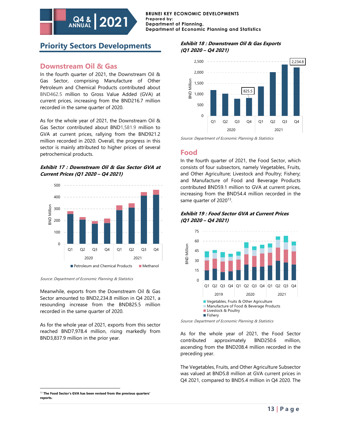# **Priority Sectors Developments**

**2021 Q4 &**

### **Downstream Oil & Gas**

**ANNUAL**

In the fourth quarter of 2021, the Downstream Oil & Gas Sector, comprising Manufacture of Other Petroleum and Chemical Products contributed about BND462.5 million to Gross Value Added (GVA) at current prices, increasing from the BND216.7 million recorded in the same quarter of 2020.

As for the whole year of 2021, the Downstream Oil & Gas Sector contributed about BND1,581.9 million to GVA at current prices, rallying from the BND921.2 million recorded in 2020. Overall, the progress in this sector is mainly attributed to higher prices of several petrochemical products.

#### **Exhibit 17 : Downstream Oil & Gas Sector GVA at Current Prices (Q1 2020 – Q4 2021)**



Source: Department of Economic Planning & Statistics

Meanwhile, exports from the Downstream Oil & Gas Sector amounted to BND2,234.8 million in Q4 2021, a resounding increase from the BND825.5 million recorded in the same quarter of 2020.

As for the whole year of 2021, exports from this sector reached BND7,978.4 million, rising markedly from BND3,837.9 million in the prior year.

### **Exhibit 18 : Downstream Oil & Gas Exports (Q1 2020 – Q4 2021)**



Source: Department of Economic Planning & Statistics

### **Food**

In the fourth quarter of 2021, the Food Sector, which consists of four subsectors, namely Vegetables, Fruits, and Other Agriculture; Livestock and Poultry; Fishery; and Manufacture of Food and Beverage Products contributed BND59.1 million to GVA at current prices, increasing from the BND54.4 million recorded in the same quarter of 2020<sup>13</sup>.

#### **Exhibit 19 : Food Sector GVA at Current Prices (Q1 2020 – Q4 2021)**



Source: Department of Economic Planning & Statistics

As for the whole year of 2021, the Food Sector contributed approximately BND250.6 million, ascending from the BND208.4 million recorded in the preceding year.

The Vegetables, Fruits, and Other Agriculture Subsector was valued at BND5.8 million at GVA current prices in Q4 2021, compared to BND5.4 million in Q4 2020. The

<sup>13</sup> **The Food Sector's GVA has been revised from the previous quarters' reports.**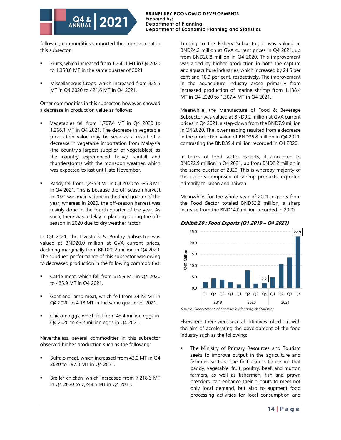following commodities supported the improvement in this subsector:

**Q4 & ANNUAL**

**2021**

- Fruits, which increased from 1,266.1 MT in Q4 2020 to 1,358.0 MT in the same quarter of 2021.
- Miscellaneous Crops, which increased from 325.5 MT in Q4 2020 to 421.6 MT in Q4 2021.

Other commodities in this subsector, however, showed a decrease in production value as follows:

- Vegetables fell from 1,787.4 MT in Q4 2020 to 1,266.1 MT in Q4 2021. The decrease in vegetable production value may be seen as a result of a decrease in vegetable importation from Malaysia (the country's largest supplier of vegetables), as the country experienced heavy rainfall and thunderstorms with the monsoon weather, which was expected to last until late November.
- Paddy fell from 1,235.8 MT in Q4 2020 to 596.8 MT in Q4 2021. This is because the off-season harvest in 2021 was mainly done in the third quarter of the year, whereas in 2020, the off-season harvest was mainly done in the fourth quarter of the year. As such, there was a delay in planting during the offseason in 2020 due to dry weather factor.

In Q4 2021, the Livestock & Poultry Subsector was valued at BND20.0 million at GVA current prices, declining marginally from BND20.2 million in Q4 2020. The subdued performance of this subsector was owing to decreased production in the following commodities:

- Cattle meat, which fell from 615.9 MT in Q4 2020 to 435.9 MT in Q4 2021.
- Goat and lamb meat, which fell from 34.23 MT in Q4 2020 to 4.18 MT in the same quarter of 2021.
- Chicken eggs, which fell from 43.4 million eggs in Q4 2020 to 43.2 million eggs in Q4 2021.

Nevertheless, several commodities in this subsector observed higher production such as the following:

- Buffalo meat, which increased from 43.0 MT in Q4 2020 to 197.0 MT in Q4 2021.
- Broiler chicken, which increased from 7,218.6 MT in Q4 2020 to 7,243.5 MT in Q4 2021.

Turning to the Fishery Subsector, it was valued at BND24.2 million at GVA current prices in Q4 2021, up from BND20.8 million in Q4 2020. This improvement was aided by higher production in both the capture and aquaculture industries, which increased by 24.5 per cent and 10.9 per cent, respectively. The improvement in the aquaculture industry arose primarily from increased production of marine shrimp from 1,138.4 MT in Q4 2020 to 1,307.4 MT in Q4 2021.

Meanwhile, the Manufacture of Food & Beverage Subsector was valued at BND9.2 million at GVA current prices in Q4 2021, a step-down from the BND7.9 million in Q4 2020. The lower reading resulted from a decrease in the production value of BND35.8 million in Q4 2021, contrasting the BND39.4 million recorded in Q4 2020.

In terms of food sector exports, it amounted to BND22.9 million in Q4 2021, up from BND2.2 million in the same quarter of 2020. This is whereby majority of the exports comprised of shrimp products, exported primarily to Japan and Taiwan.

Meanwhile, for the whole year of 2021, exports from the Food Sector totaled BND52.2 million, a sharp increase from the BND14.0 million recorded in 2020.

### **Exhibit 20 : Food Exports (Q1 2019 – Q4 2021)**



Source: Department of Economic Planning & Statistics

Elsewhere, there were several initiatives rolled out with the aim of accelerating the development of the food industry such as the following:

The Ministry of Primary Resources and Tourism seeks to improve output in the agriculture and fisheries sectors. The first plan is to ensure that paddy, vegetable, fruit, poultry, beef, and mutton farmers, as well as fishermen, fish and prawn breeders, can enhance their outputs to meet not only local demand, but also to augment food processing activities for local consumption and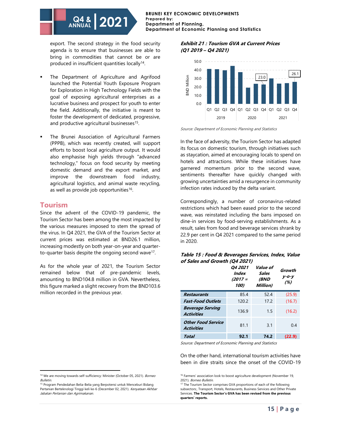**BRUNEI KEY ECONOMIC DEVELOPMENTS Prepared by: Department of Planning, Department of Economic Planning and Statistics**

export. The second strategy in the food security agenda is to ensure that businesses are able to bring in commodities that cannot be or are produced in insufficient quantities locally<sup>14</sup>.

- The Department of Agriculture and Agrifood launched the Potential Youth Exposure Program for Exploration in High Technology Fields with the goal of exposing agricultural enterprises as a lucrative business and prospect for youth to enter the field. Additionally, the initiative is meant to foster the development of dedicated, progressive, and productive agricultural businesses<sup>15</sup>.
- The Brunei Association of Agricultural Farmers (PPPB), which was recently created, will support efforts to boost local agriculture output. It would also emphasise high yields through "advanced technology," focus on food security by meeting domestic demand and the export market, and improve the downstream food industry, agricultural logistics, and animal waste recycling, as well as provide job opportunities<sup>16</sup>.

### **Tourism**

Bulletin.

Since the advent of the COVID-19 pandemic, the Tourism Sector has been among the most impacted by the various measures imposed to stem the spread of the virus. In Q4 2021, the GVA of the Tourism Sector at current prices was estimated at BND26.1 million, increasing modestly on both year-on-year and quarterto-quarter basis despite the ongoing second wave<sup>17</sup>.

As for the whole year of 2021, the Tourism Sector remained below that of pre-pandemic levels, amounting to BND104.8 million in GVA. Nevertheless, this figure marked a slight recovery from the BND103.6 million recorded in the previous year.

#### **Exhibit 21 : Tourism GVA at Current Prices (Q1 2019 – Q4 2021)**



Source: Department of Economic Planning and Statistics

In the face of adversity, the Tourism Sector has adapted its focus on domestic tourism, through initiatives such as staycation, aimed at encouraging locals to spend on hotels and attractions. While these initiatives have garnered momentum prior to the second wave, sentiments thereafter have quickly changed with growing uncertainties amid a resurgence in community infection rates induced by the delta variant.

Correspondingly, a number of coronavirus-related restrictions which had been eased prior to the second wave, was reinstated including the bans imposed on dine-in services by food-serving establishments. As a result, sales from food and beverage services shrank by 22.9 per cent in Q4 2021 compared to the same period in 2020.

| Table 15 : Food & Beverages Services, Index, Value |  |
|----------------------------------------------------|--|
| of Sales and Growth (Q4 2021)                      |  |

|                                                | <i><b>04 2021</b></i><br><b>Index</b><br>$(2017 =$<br>100) | Value of<br><b>Sales</b><br><i><b>(BND</b></i><br>Million) | Growth<br>$y$ -o-y<br>(%) |
|------------------------------------------------|------------------------------------------------------------|------------------------------------------------------------|---------------------------|
| <b>Restaurants</b>                             | 85.4                                                       | 52.4                                                       | (25.9)                    |
| <b>Fast-Food Outlets</b>                       | 120.2                                                      | 17.2                                                       | (16.7)                    |
| <b>Beverage Serving</b><br><b>Activities</b>   | 136.9                                                      | 1.5                                                        | (16.2)                    |
| <b>Other Food Service</b><br><b>Activities</b> | 81.1                                                       | 3.1                                                        | 0.4                       |
| Total                                          | 92.1                                                       | 74.2                                                       | (22.9)                    |

Source: Department of Economic Planning and Statistics

On the other hand, international tourism activities have been in dire straits since the onset of the COVID-19

<sup>&</sup>lt;sup>14</sup> We are moving towards self-sufficiency: Minister (October 05, 2021). Borneo

<sup>15</sup> Program Pendedahan Belia-Belia yang Berpotensi untuk Menceburi Bidang Pertanian Berteknologi Tinggi keli ke-6 (December 02, 2021). Kenyataan Akhbar Jabatan Pertanian dan Agrimakanan.

<sup>&</sup>lt;sup>16</sup> Farmers' association look to boost agriculture development (November 19, 2021). Borneo Bulletin.

<sup>&</sup>lt;sup>17</sup> The Tourism Sector comprises GVA proportions of each of the following subsectors:, Transport, Hotels, Restaurants, Business Services and Other Private Services. **The Tourism Sector's GVA has been revised from the previous quarters' reports.**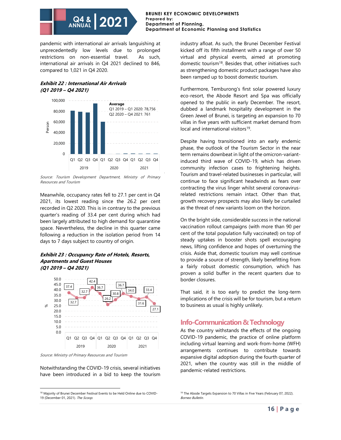#### **BRUNEI KEY ECONOMIC DEVELOPMENTS Prepared by: Department of Planning, Department of Economic Planning and Statistics**

pandemic with international air arrivals languishing at unprecedentedly low levels due to prolonged restrictions on non-essential travel. As such, international air arrivals in Q4 2021 declined to 846, compared to 1,021 in Q4 2020.

### **Exhibit 22 : International Air Arrivals (Q1 2019 – Q4 2021)**



Source: Tourism Development Department, Ministry of Primary Resources and Tourism

Meanwhile, occupancy rates fell to 27.1 per cent in Q4 2021, its lowest reading since the 26.2 per cent recorded in Q2 2020. This is in contrary to the previous quarter's reading of 33.4 per cent during which had been largely attributed to high demand for quarantine space. Nevertheless, the decline in this quarter came following a reduction in the isolation period from 14 days to 7 days subject to country of origin.

#### **Exhibit 23 : Occupancy Rate of Hotels, Resorts, Apartments and Guest Houses (Q1 2019 – Q4 2021)**



Source: Ministry of Primary Resources and Tourism

Notwithstanding the COVID-19 crisis, several initiatives have been introduced in a bid to keep the tourism industry afloat. As such, the Brunei December Festival kicked off its fifth installment with a range of over 50 virtual and physical events, aimed at promoting domestic tourism<sup>18</sup>. Besides that, other initiatives such as strengthening domestic product packages have also been ramped up to boost domestic tourism.

Furthermore, Temburong's first solar powered luxury eco-resort, the Abode Resort and Spa was officially opened to the public in early December. The resort, dubbed a landmark hospitality development in the Green Jewel of Brunei, is targeting an expansion to 70 villas in five years with sufficient market demand from local and international visitors<sup>19</sup>.

Despite having transitioned into an early endemic phase, the outlook of the Tourism Sector in the near term remains downbeat in light of the omicron-variantinduced third wave of COVID-19, which has driven community infection cases to frightening heights. Tourism and travel-related businesses in particular, will continue to face significant headwinds as fears over contracting the virus linger whilst several coronavirusrelated restrictions remain intact. Other than that, growth recovery prospects may also likely be curtailed as the threat of new variants loom on the horizon.

On the bright side, considerable success in the national vaccination rollout campaigns (with more than 90 per cent of the total population fully vaccinated) on top of steady uptakes in booster shots spell encouraging news, lifting confidence and hopes of overturning the crisis. Aside that, domestic tourism may well continue to provide a source of strength, likely benefitting from a fairly robust domestic consumption, which has proven a solid buffer in the recent quarters due to border closures.

That said, it is too early to predict the long-term implications of the crisis will be for tourism, but a return to business as usual is highly unlikely.

# **Info-Communication & Technology**

As the country withstands the effects of the ongoing COVID-19 pandemic, the practice of online platform including virtual learning and work-from-home (WFH) arrangements continues to contribute towards expansive digital adoption during the fourth quarter of 2021, when the country was still in the middle of pandemic-related restrictions.

<sup>&</sup>lt;sup>18</sup> Majority of Brunei December Festival Events to be Held Online due to COVID-19 (December 01, 2021). The Scoop.

<sup>&</sup>lt;sup>19</sup> The Abode Targets Expansion to 70 Villas in Five Years (February 07, 2022). Borneo Bulletin.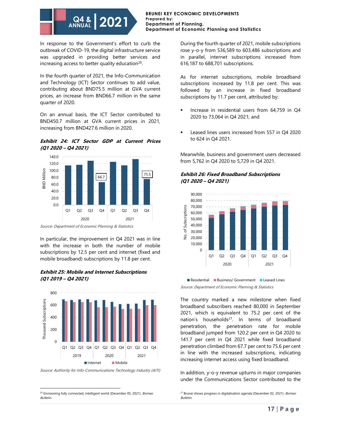

In response to the Government's effort to curb the outbreak of COVID-19, the digital infrastructure service was upgraded in providing better services and increasing access to better quality education<sup>20</sup>.

In the fourth quarter of 2021, the Info-Communication and Technology (ICT) Sector continues to add value, contributing about BND75.5 million at GVA current prices, an increase from BND66.7 million in the same quarter of 2020.

On an annual basis, the ICT Sector contributed to BND450.7 million at GVA current prices in 2021, increasing from BND427.6 million in 2020.

### **Exhibit 24: ICT Sector GDP at Current Prices (Q1 2020 – Q4 2021)**



Source: Department of Economic Planning & Statistics

In particular, the improvement in Q4 2021 was in line with the increase in both the number of mobile subscriptions by 12.5 per cent and internet (fixed and mobile broadband) subscriptions by 11.8 per cent.

### **Exhibit 25: Mobile and Internet Subscriptions (Q1 2019 – Q4 2021)**



Source: Authority for Info-Communications Technology Industry (AITI)

During the fourth quarter of 2021, mobile subscriptions rose y-o-y from 536,589 to 603,486 subscriptions and in parallel, internet subscriptions increased from 616,187 to 688,701 subscriptions.

As for internet subscriptions, mobile broadband subscriptions increased by 11.8 per cent. This was followed by an increase in fixed broadband subscriptions by 11.7 per cent, attributed by:

- Increase in residential users from 64,759 in Q4 2020 to 73,064 in Q4 2021; and
- Leased lines users increased from 557 in Q4 2020 to 624 in Q4 2021.

Meanwhile, business and government users decreased from 5,762 in Q4 2020 to 5,729 in Q4 2021.

#### **Exhibit 26: Fixed Broadband Subscriptions (Q1 2020 – Q4 2021)**



Source: Department of Economic Planning & Statistics Residential Business/ Government Leased Lines

The country marked a new milestone when fixed broadband subscribers reached 80,000 in September 2021, which is equivalent to 75.2 per cent of the nation's households<sup>21</sup>. In terms of broadband penetration, the penetration rate for mobile broadband jumped from 120.2 per cent in Q4 2020 to 141.7 per cent in Q4 2021 while fixed broadband penetration climbed from 67.7 per cent to 75.6 per cent in line with the increased subscriptions, indicating increasing internet access using fixed broadband.

In addition, y-o-y revenue upturns in major companies under the Communications Sector contributed to the

 $21$  Brunei shows progress in digitalisation agenda (December 02, 2021). *Borneo* Bulletin.

<sup>&</sup>lt;sup>20</sup> Envisioning fully connected, intelligent world (December 05, 2021). Borneo Bulletin.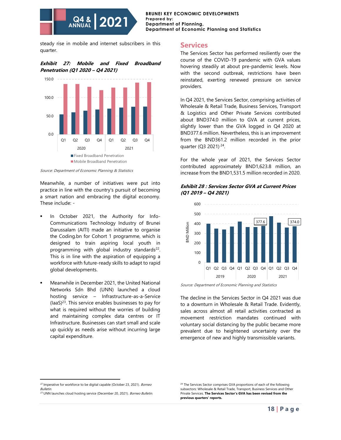#### **BRUNEI KEY ECONOMIC DEVELOPMENTS Prepared by: Department of Planning, Department of Economic Planning and Statistics**

steady rise in mobile and internet subscribers in this quarter.

#### **Exhibit 27: Mobile and Fixed Broadband Penetration (Q1 2020 – Q4 2021)**



Source: Department of Economic Planning & Statistics

Meanwhile, a number of initiatives were put into practice in line with the country's pursuit of becoming a smart nation and embracing the digital economy. These include: -

- In October 2021, the Authority for Info-Communications Technology Industry of Brunei Darussalam (AITI) made an initiative to organise the Coding.bn for Cohort 1 programme, which is designed to train aspiring local youth in programming with global industry standards<sup>22</sup>. This is in line with the aspiration of equipping a workforce with future-ready skills to adapt to rapid global developments.
- Meanwhile in December 2021, the United National Networks Sdn Bhd (UNN) launched a cloud hosting service – Infrastructure-as-a-Service  $(laaS)^{23}$ . This service enables businesses to pay for what is required without the worries of building and maintaining complex data centres or IT Infrastructure. Businesses can start small and scale up quickly as needs arise without incurring large capital expenditure.

#### **Services**

The Services Sector has performed resiliently over the course of the COVID-19 pandemic with GVA values hovering steadily at about pre-pandemic levels. Now with the second outbreak, restrictions have been reinstated, exerting renewed pressure on service providers.

In Q4 2021, the Services Sector, comprising activities of Wholesale & Retail Trade, Business Services, Transport & Logistics and Other Private Services contributed about BND374.0 million to GVA at current prices, slightly lower than the GVA logged in Q4 2020 at BND377.6 million. Nevertheless, this is an improvement from the BND361.2 million recorded in the prior quarter (Q3 2021)<sup>24</sup>.

For the whole year of 2021, the Services Sector contributed approximately BND1,623.8 million, an increase from the BND1,531.5 million recorded in 2020.

#### **Exhibit 28 : Services Sector GVA at Current Prices (Q1 2019 – Q4 2021)**



Source: Department of Economic Planning and Statistics

The decline in the Services Sector in Q4 2021 was due to a downturn in Wholesale & Retail Trade. Evidently, sales across almost all retail activities contracted as movement restriction mandates continued with voluntary social distancing by the public became more prevalent due to heightened uncertainty over the emergence of new and highly transmissible variants.

<sup>&</sup>lt;sup>22</sup> Imperative for workforce to be digital capable (October 23, 2021). Borneo **Bulletin**.

<sup>&</sup>lt;sup>23</sup> UNN launches cloud hosting service (December 20, 2021). Borneo Bulletin.

<sup>&</sup>lt;sup>24</sup> The Services Sector comprises GVA proportions of each of the following subsectors: Wholesale & Retail Trade, Transport, Business Services and Other Private Services. **The Services Sector's GVA has been revised from the previous quarters' reports.**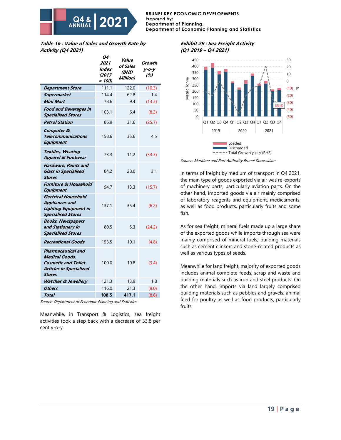#### **BRUNEI KEY ECONOMIC DEVELOPMENTS Prepared by: Department of Planning, Department of Economic Planning and Statistics**

**Table 16 : Value of Sales and Growth Rate by Activity (Q4 2021)**

|                                                                                                                              | Q4<br>2021<br>Index<br>(2017<br>$= 100$ | Value<br>of Sales<br>(BND<br>Million) | Growth<br>$y$ -o-y<br>(%) |
|------------------------------------------------------------------------------------------------------------------------------|-----------------------------------------|---------------------------------------|---------------------------|
| <b>Department Store</b>                                                                                                      | 111.1                                   | 122.0                                 | (10.3)                    |
| <b>Supermarket</b>                                                                                                           | 114.4                                   | 62.8                                  | 1.4                       |
| Mini Mart                                                                                                                    | 78.6                                    | 9.4                                   | (13.3)                    |
| <b>Food and Beverages in</b><br><b>Specialised Stores</b>                                                                    | 103.1                                   | 6.4                                   | (8.3)                     |
| <b>Petrol Station</b>                                                                                                        | 86.9                                    | 31.6                                  | (25.7)                    |
| Computer &<br>Telecommunications<br><b>Equipment</b>                                                                         | 158.6                                   | 35.6                                  | 4.5                       |
| <b>Textiles, Wearing</b><br><b>Apparel &amp; Footwear</b>                                                                    | 73.3                                    | 11.2                                  | (33.3)                    |
| <b>Hardware, Paints and</b><br><b>Glass in Specialised</b><br><b>Stores</b>                                                  | 84.2                                    | 28.0                                  | 3.1                       |
| <b>Furniture &amp; Household</b><br><b>Equipment</b>                                                                         | 94.7                                    | 13.3                                  | (15.7)                    |
| <b>Electrical Household</b><br><b>Appliances and</b><br><b>Lighting Equipment in</b><br><b>Specialised Stores</b>            | 137.1                                   | 35.4                                  | (6.2)                     |
| <b>Books, Newspapers</b><br>and Stationery in<br><b>Specialised Stores</b>                                                   | 80.5                                    | 5.3                                   | (24.2)                    |
| <b>Recreational Goods</b>                                                                                                    | 153.5                                   | 10.1                                  | (4.8)                     |
| Pharmaceutical and<br><b>Medical Goods,</b><br><b>Cosmetic and Toilet</b><br><b>Articles in Specialized</b><br><b>Stores</b> | 100.0                                   | 10.8                                  | (3.4)                     |
| <b>Watches &amp; Jewellery</b>                                                                                               | 121.3                                   | 13.9                                  | 1.8                       |
| <b>Others</b>                                                                                                                | 116.0                                   | 21.3                                  | (9.0)                     |
| Total                                                                                                                        | 108.5                                   | 417.1                                 | (8.6)                     |

Source: Department of Economic Planning and Statistics

Meanwhile, in Transport & Logistics, sea freight activities took a step back with a decrease of 33.8 per cent y-o-y.

#### **Exhibit 29 : Sea Freight Activity (Q1 2019 – Q4 2021)**



Source: Maritime and Port Authority Brunei Darussalam

In terms of freight by medium of transport in Q4 2021, the main type of goods exported via air was re-exports of machinery parts, particularly aviation parts. On the other hand, imported goods via air mainly comprised of laboratory reagents and equipment, medicaments, as well as food products, particularly fruits and some fish.

As for sea freight, mineral fuels made up a large share of the exported goods while imports through sea were mainly comprised of mineral fuels, building materials such as cement clinkers and stone-related products as well as various types of seeds.

Meanwhile for land freight, majority of exported goods includes animal complete feeds, scrap and waste and building materials such as iron and steel products. On the other hand, imports via land largely comprised building materials such as pebbles and gravels; animal feed for poultry as well as food products, particularly fruits.